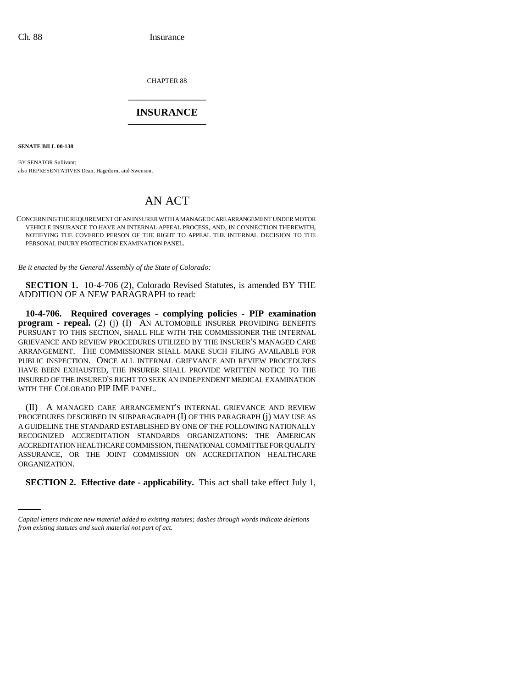CHAPTER 88 \_\_\_\_\_\_\_\_\_\_\_\_\_\_\_

## **INSURANCE** \_\_\_\_\_\_\_\_\_\_\_\_\_\_\_

**SENATE BILL 00-138** 

BY SENATOR Sullivant; also REPRESENTATIVES Dean, Hagedorn, and Swenson.

## AN ACT

CONCERNING THE REQUIREMENT OF AN INSURER WITH A MANAGED CARE ARRANGEMENT UNDER MOTOR VEHICLE INSURANCE TO HAVE AN INTERNAL APPEAL PROCESS, AND, IN CONNECTION THEREWITH, NOTIFYING THE COVERED PERSON OF THE RIGHT TO APPEAL THE INTERNAL DECISION TO THE PERSONAL INJURY PROTECTION EXAMINATION PANEL.

*Be it enacted by the General Assembly of the State of Colorado:*

**SECTION 1.** 10-4-706 (2), Colorado Revised Statutes, is amended BY THE ADDITION OF A NEW PARAGRAPH to read:

**10-4-706. Required coverages - complying policies - PIP examination program - repeal.** (2) (j) (I) AN AUTOMOBILE INSURER PROVIDING BENEFITS PURSUANT TO THIS SECTION, SHALL FILE WITH THE COMMISSIONER THE INTERNAL GRIEVANCE AND REVIEW PROCEDURES UTILIZED BY THE INSURER'S MANAGED CARE ARRANGEMENT. THE COMMISSIONER SHALL MAKE SUCH FILING AVAILABLE FOR PUBLIC INSPECTION. ONCE ALL INTERNAL GRIEVANCE AND REVIEW PROCEDURES HAVE BEEN EXHAUSTED, THE INSURER SHALL PROVIDE WRITTEN NOTICE TO THE INSURED OF THE INSURED'S RIGHT TO SEEK AN INDEPENDENT MEDICAL EXAMINATION WITH THE COLORADO PIP IME PANEL.

ORGANIZATION. (II) A MANAGED CARE ARRANGEMENT'S INTERNAL GRIEVANCE AND REVIEW PROCEDURES DESCRIBED IN SUBPARAGRAPH (I) OF THIS PARAGRAPH (j) MAY USE AS A GUIDELINE THE STANDARD ESTABLISHED BY ONE OF THE FOLLOWING NATIONALLY RECOGNIZED ACCREDITATION STANDARDS ORGANIZATIONS: THE AMERICAN ACCREDITATION HEALTHCARE COMMISSION, THE NATIONAL COMMITTEE FOR QUALITY ASSURANCE, OR THE JOINT COMMISSION ON ACCREDITATION HEALTHCARE

**SECTION 2. Effective date - applicability.** This act shall take effect July 1,

*Capital letters indicate new material added to existing statutes; dashes through words indicate deletions from existing statutes and such material not part of act.*